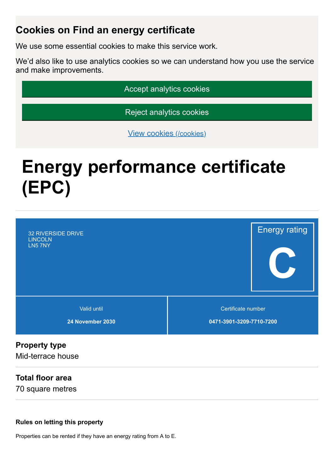# **Cookies on Find an energy certificate**

We use some essential cookies to make this service work.

We'd also like to use analytics cookies so we can understand how you use the service and make improvements.

Accept analytics cookies

Reject analytics cookies

View cookies [\(/cookies\)](https://find-energy-certificate.digital.communities.gov.uk/cookies)

# **Energy performance certificate (EPC)**



# **Property type**

Mid-terrace house

#### **Total floor area**

70 square metres

#### **Rules on letting this property**

Properties can be rented if they have an energy rating from A to E.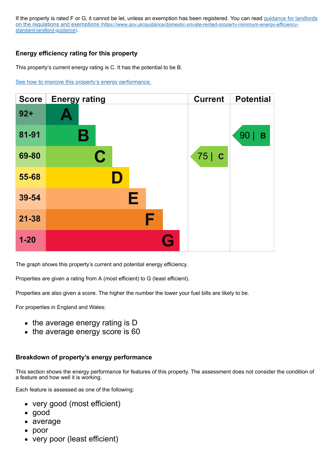If the property is rated F or G, it cannot be let, unless an exemption has been registered. You can read quidance for landlords on the regulations and exemptions (https://www.gov.uk/guidance/domestic-private-rented-property-minimum-energy-efficiencystandard-landlord-guidance).

#### **Energy efficiency rating for this property**

This property's current energy rating is C. It has the potential to be B.

[See how to improve this property's energy performance.](#page-3-0)

| <b>Score</b> | <b>Energy rating</b> | <b>Current</b> | <b>Potential</b> |
|--------------|----------------------|----------------|------------------|
| $92 +$       |                      |                |                  |
| 81-91        | Β                    |                | 90<br>B          |
| 69-80        | $\mathbf C$          | 75 C           |                  |
| 55-68        |                      |                |                  |
| 39-54        | Е                    |                |                  |
| $21 - 38$    | F                    |                |                  |
| $1 - 20$     | G                    |                |                  |

The graph shows this property's current and potential energy efficiency.

Properties are given a rating from A (most efficient) to G (least efficient).

Properties are also given a score. The higher the number the lower your fuel bills are likely to be.

For properties in England and Wales:

- the average energy rating is D
- the average energy score is 60

#### **Breakdown of property's energy performance**

This section shows the energy performance for features of this property. The assessment does not consider the condition of a feature and how well it is working.

Each feature is assessed as one of the following:

- very good (most efficient)
- good
- average
- poor
- very poor (least efficient)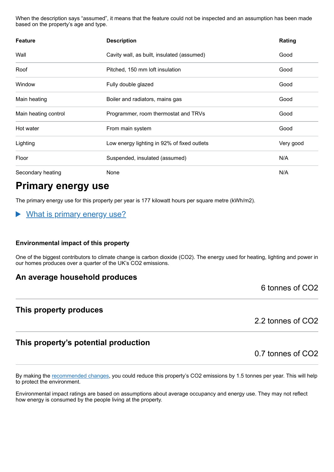When the description says "assumed", it means that the feature could not be inspected and an assumption has been made based on the property's age and type.

| <b>Feature</b>       | <b>Description</b>                          | Rating    |
|----------------------|---------------------------------------------|-----------|
| Wall                 | Cavity wall, as built, insulated (assumed)  | Good      |
| Roof                 | Pitched, 150 mm loft insulation             | Good      |
| Window               | Fully double glazed                         | Good      |
| Main heating         | Boiler and radiators, mains gas             | Good      |
| Main heating control | Programmer, room thermostat and TRVs        | Good      |
| Hot water            | From main system                            | Good      |
| Lighting             | Low energy lighting in 92% of fixed outlets | Very good |
| Floor                | Suspended, insulated (assumed)              | N/A       |
| Secondary heating    | None                                        | N/A       |

# **Primary energy use**

The primary energy use for this property per year is 177 kilowatt hours per square metre (kWh/m2).

What is primary energy use?

#### **Environmental impact of this property**

One of the biggest contributors to climate change is carbon dioxide (CO2). The energy used for heating, lighting and power in our homes produces over a quarter of the UK's CO2 emissions.

#### **An average household produces**

#### **This property produces**

2.2 tonnes of CO2

#### **This property's potential production**

By making the [recommended changes,](#page-3-0) you could reduce this property's CO2 emissions by 1.5 tonnes per year. This will help to protect the environment.

Environmental impact ratings are based on assumptions about average occupancy and energy use. They may not reflect how energy is consumed by the people living at the property.

6 tonnes of CO2

0.7 tonnes of CO2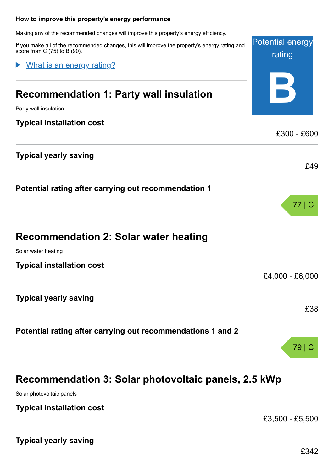# <span id="page-3-0"></span>Potential energy rating **B How to improve this property's energy performance** Making any of the recommended changes will improve this property's energy efficiency. If you make all of the recommended changes, this will improve the property's energy rating and score from C (75) to B (90). **Recommendation 1: Party wall insulation** Party wall insulation **Typical installation cost** £300 - £600 **Typical yearly saving** £49 **Potential rating after carrying out recommendation 1** 77 | C **Recommendation 2: Solar water heating** Solar water heating **Typical installation cost** £4,000 - £6,000 **Typical yearly saving** £38 **Potential rating after carrying out recommendations 1 and 2** 79 | C What is an energy rating?

# **Recommendation 3: Solar photovoltaic panels, 2.5 kWp**

Solar photovoltaic panels

#### **Typical installation cost**

£3,500 - £5,500

**Typical yearly saving**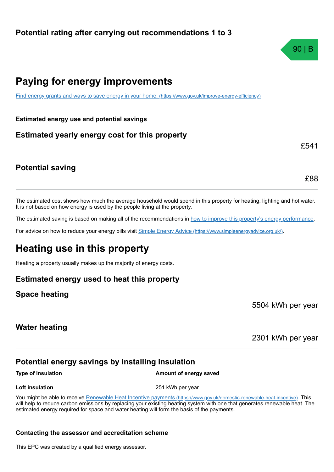# **Paying for energy improvements**

[Find energy grants and ways to save energy in your home.](https://www.gov.uk/improve-energy-efficiency) (https://www.gov.uk/improve-energy-efficiency)

**Estimated energy use and potential savings**

### **Estimated yearly energy cost for this property**

#### **Potential saving**

The estimated cost shows how much the average household would spend in this property for heating, lighting and hot water. It is not based on how energy is used by the people living at the property.

The estimated saving is based on making all of the recommendations in [how to improve this property's energy performance.](#page-3-0)

For advice on how to reduce your energy bills visit Simple Energy Advice [\(https://www.simpleenergyadvice.org.uk/\)](https://www.simpleenergyadvice.org.uk/).

# **Heating use in this property**

Heating a property usually makes up the majority of energy costs.

#### **Estimated energy used to heat this property**

#### **Space heating**

5504 kWh per year

#### **Water heating**

2301 kWh per year

### **Potential energy savings by installing insulation**

**Type of insulation Amount of energy saved** 

You might be able to receive Renewable Heat Incentive payments [\(https://www.gov.uk/domestic-renewable-heat-incentive\)](https://www.gov.uk/domestic-renewable-heat-incentive). This

will help to reduce carbon emissions by replacing your existing heating system with one that generates renewable heat. The estimated energy required for space and water heating will form the basis of the payments.

#### **Contacting the assessor and accreditation scheme**

This EPC was created by a qualified energy assessor.



**Loft insulation** 251 kWh per year

£88

£541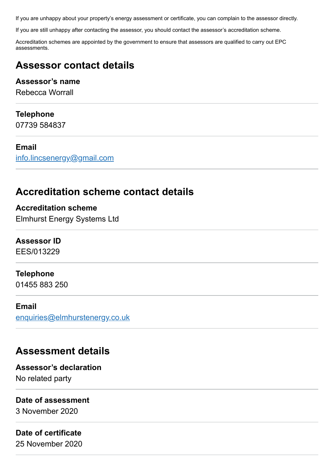If you are unhappy about your property's energy assessment or certificate, you can complain to the assessor directly.

If you are still unhappy after contacting the assessor, you should contact the assessor's accreditation scheme.

Accreditation schemes are appointed by the government to ensure that assessors are qualified to carry out EPC assessments.

# **Assessor contact details**

#### **Assessor's name**

Rebecca Worrall

#### **Telephone**

07739 584837

#### **Email**

[info.lincsenergy@gmail.com](mailto:info.lincsenergy@gmail.com)

# **Accreditation scheme contact details**

**Accreditation scheme** Elmhurst Energy Systems Ltd

#### **Assessor ID**

EES/013229

#### **Telephone**

01455 883 250

#### **Email**

[enquiries@elmhurstenergy.co.uk](mailto:enquiries@elmhurstenergy.co.uk)

# **Assessment details**

**Assessor's declaration** No related party

#### **Date of assessment**

3 November 2020

#### **Date of certificate**

25 November 2020